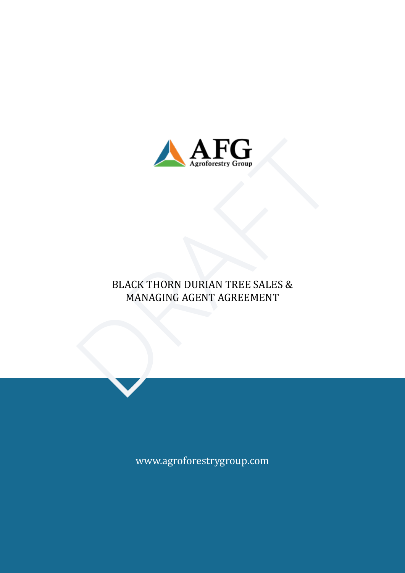

# ART SANTA CONSTRUCTED AND A A ARTICLE SALES A MANAGING AGENT AGREEMENT BLACK THORN DURIAN TREE SALES & MANAGING AGENT AGREEMENT

www.agroforestrygroup.com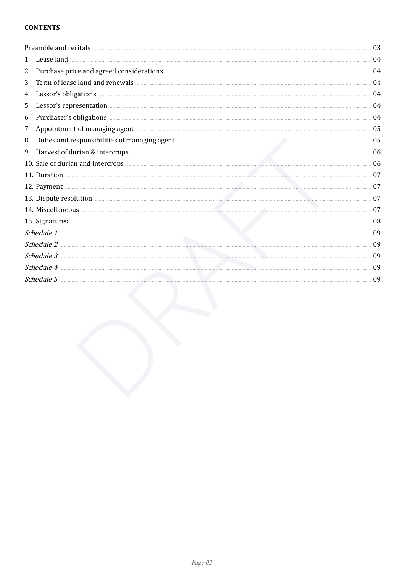# **CONTENTS**

|    |                                                                                                                                                                                                                                         | 03  |
|----|-----------------------------------------------------------------------------------------------------------------------------------------------------------------------------------------------------------------------------------------|-----|
| 1. |                                                                                                                                                                                                                                         | 04  |
| 2. | Purchase price and agreed considerations <b>CONSIDERENT PROPERTY</b>                                                                                                                                                                    | 04  |
| 3. |                                                                                                                                                                                                                                         | 04  |
| 4. |                                                                                                                                                                                                                                         | 04  |
| 5. | Lessor's representation <b>Executive Construction</b>                                                                                                                                                                                   | 04  |
| 6. | Purchaser's obligations <b>Executive Constructs</b>                                                                                                                                                                                     | 04  |
| 7. | Appointment of managing agent manual continuum contract and a contract of managing agent manual contract of the contract of the contract of the contract of the contract of the contract of the contract of the contract of th          |     |
| 8. | Duties and responsibilities of managing agent <b>manual control and the control of managing</b> agent manual control of the control of the control of the control of the control of the control of the control of the control of th     | 05  |
| 9. | Harvest of durian & intercrops <b>contract to the contract of durian &amp; intercrops</b> 06                                                                                                                                            |     |
|    | 10. Sale of durian and intercrops <b>manual contract of the contract of the contract of durian and intercrops</b>                                                                                                                       | 06  |
|    |                                                                                                                                                                                                                                         |     |
|    | 12. Payment <b>contract and the contract of the contract of the contract of the contract of the contract of the contract of the contract of the contract of the contract of the contract of the contract of the contract of the </b>    | 07  |
|    | 13. Dispute resolution <b>contract to the contract of the contract of the contract of the contract of the contract of the contract of the contract of the contract of the contract of the contract of the contract of the contra</b>    | 07  |
|    | 14. Miscellaneous <b>contract and the contract of the contract of the contract of the contract of the contract of the contract of the contract of the contract of the contract of the contract of the contract of the contract o</b>    | 07  |
|    | 15. Signatures <b>Executive Structures 15.</b> Signatures <b>Executive Structure in the Structure Structure Structure in the Structure Structure in the Structure of the Structure of Structure in the Structure of the Structure o</b> | .08 |
|    |                                                                                                                                                                                                                                         | 09  |
|    |                                                                                                                                                                                                                                         | 09  |
|    |                                                                                                                                                                                                                                         | .09 |
|    |                                                                                                                                                                                                                                         | 09  |
|    |                                                                                                                                                                                                                                         | 09  |
|    |                                                                                                                                                                                                                                         |     |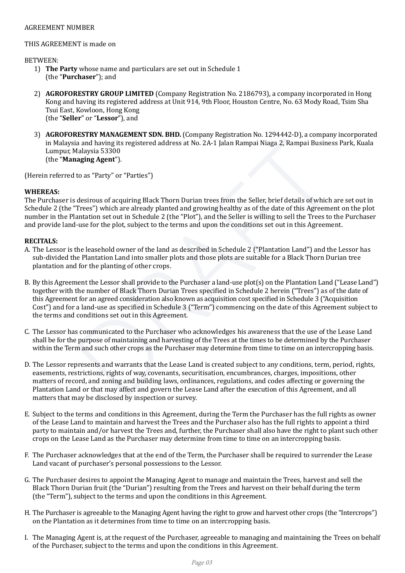#### AGREEMENT NUMBER

#### THIS AGREEMENT is made on

#### BETWEEN:

- 1) **The Party** whose name and particulars are set out in Schedule 1 (the "**Purchaser**"); and
- 2) **AGROFORESTRY GROUP LIMITED** (Company Registration No. 2186793), a company incorporated in Hong Kong and having its registered address at Unit 914, 9th Floor, Houston Centre, No. 63 Mody Road, Tsim Sha Tsui East, Kowloon, Hong Kong (the "**Seller**" or "**Lessor**"), and
- 3) **AGROFORESTRY MANAGEMENT SDN. BHD.** (Company Registration No. 1294442-D), a company incorporated in Malaysia and having its registered address at No. 2A-1 Jalan Rampai Niaga 2, Rampai Business Park, Kuala Lumpur, Malaysia 53300 (the "**Managing Agent**").

(Herein referred to as "Party" or "Parties")

#### **WHEREAS:**

The Purchaser is desirous of acquiring Black Thorn Durian trees from the Seller, brief details of which are set out in Schedule 2 (the "Trees") which are already planted and growing healthy as of the date of this Agreement on the plot number in the Plantation set out in Schedule 2 (the "Plot"), and the Seller is willing to sell the Trees to the Purchaser and provide land-use for the plot, subject to the terms and upon the conditions set out in this Agreement.

#### **RECITALS:**

- A. The Lessor is the leasehold owner of the land as described in Schedule 2 ("Plantation Land") and the Lessor has sub-divided the Plantation Land into smaller plots and those plots are suitable for a Black Thorn Durian tree plantation and for the planting of other crops.
- a and having its registered address at No. 2A-1 Jalan Rampai Niaga 2, Rampai Busines:<br>falaysia 53300<br>
aging Agent").<br>
to as "Party" or "Parties")<br>
desirous of acquiring Black Thorn Durian trees from the Seller, brief detai B. By this Agreement the Lessor shall provide to the Purchaser a land-use plot(s) on the Plantation Land ("Lease Land") together with the number of Black Thorn Durian Trees specified in Schedule 2 herein ("Trees") as of the date of this Agreement for an agreed consideration also known as acquisition cost specified in Schedule 3 ("Acquisition Cost") and for a land-use as specified in Schedule 3 ("Term") commencing on the date of this Agreement subject to the terms and conditions set out in this Agreement.
- C. The Lessor has communicated to the Purchaser who acknowledges his awareness that the use of the Lease Land shall be for the purpose of maintaining and harvesting of the Trees at the times to be determined by the Purchaser within the Term and such other crops as the Purchaser may determine from time to time on an intercropping basis.
- D. The Lessor represents and warrants that the Lease Land is created subject to any conditions, term, period, rights, easements, restrictions, rights of way, covenants, securitisation, encumbrances, charges, impositions, other matters of record, and zoning and building laws, ordinances, regulations, and codes affecting or governing the Plantation Land or that may affect and govern the Lease Land after the execution of this Agreement, and all matters that may be disclosed by inspection or survey.
- E. Subject to the terms and conditions in this Agreement, during the Term the Purchaser has the full rights as owner of the Lease Land to maintain and harvest the Trees and the Purchaser also has the full rights to appoint a third party to maintain and/or harvest the Trees and, further, the Purchaser shall also have the right to plant such other crops on the Lease Land as the Purchaser may determine from time to time on an intercropping basis.
- F. The Purchaser acknowledges that at the end of the Term, the Purchaser shall be required to surrender the Lease Land vacant of purchaser's personal possessions to the Lessor.
- G. The Purchaser desires to appoint the Managing Agent to manage and maintain the Trees, harvest and sell the Black Thorn Durian fruit (the "Durian") resulting from the Trees and harvest on their behalf during the term (the "Term"), subject to the terms and upon the conditions in this Agreement.
- H. The Purchaser is agreeable to the Managing Agent having the right to grow and harvest other crops (the "Intercrops") on the Plantation as it determines from time to time on an intercropping basis.
- I. The Managing Agent is, at the request of the Purchaser, agreeable to managing and maintaining the Trees on behalf of the Purchaser, subject to the terms and upon the conditions in this Agreement.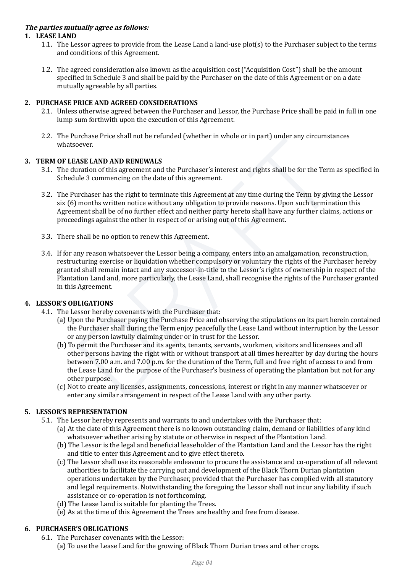# **The parties mutually agree as follows:**

# **1. LEASE LAND**

- 1.1. The Lessor agrees to provide from the Lease Land a land-use plot(s) to the Purchaser subject to the terms and conditions of this Agreement.
- 1.2. The agreed consideration also known as the acquisition cost ("Acquisition Cost") shall be the amount specified in Schedule 3 and shall be paid by the Purchaser on the date of this Agreement or on a date mutually agreeable by all parties.

## **2. PURCHASE PRICE AND AGREED CONSIDERATIONS**

- 2.1. Unless otherwise agreed between the Purchaser and Lessor, the Purchase Price shall be paid in full in one lump sum forthwith upon the execution of this Agreement.
- 2.2. The Purchase Price shall not be refunded (whether in whole or in part) under any circumstances whatsoever.

#### **3. TERM OF LEASE LAND AND RENEWALS**

- 3.1. The duration of this agreement and the Purchaser's interest and rights shall be for the Term as specified in Schedule 3 commencing on the date of this agreement.
- 3.2. The Purchaser has the right to terminate this Agreement at any time during the Term by giving the Lessor six (6) months written notice without any obligation to provide reasons. Upon such termination this Agreement shall be of no further effect and neither party hereto shall have any further claims, actions or proceedings against the other in respect of or arising out of this Agreement.
- 3.3. There shall be no option to renew this Agreement.
- examples the same mode tendent of the purchase of the particle plane of the plane of the same properties and the Purchaser's interest and rights shall be for the Term<br>and a commencing on the date of this agreement.<br>In the 3.4. If for any reason whatsoever the Lessor being a company, enters into an amalgamation, reconstruction, restructuring exercise or liquidation whether compulsory or voluntary the rights of the Purchaser hereby granted shall remain intact and any successor-in-title to the Lessor's rights of ownership in respect of the Plantation Land and, more particularly, the Lease Land, shall recognise the rights of the Purchaser granted in this Agreement.

#### **4. LESSOR'S OBLIGATIONS**

- 4.1. The Lessor hereby covenants with the Purchaser that:
	- (a) Upon the Purchaser paying the Purchase Price and observing the stipulations on its part herein contained the Purchaser shall during the Term enjoy peacefully the Lease Land without interruption by the Lessor or any person lawfully claiming under or in trust for the Lessor.
	- (b) To permit the Purchaser and its agents, tenants, servants, workmen, visitors and licensees and all other persons having the right with or without transport at all times hereafter by day during the hours between 7.00 a.m. and 7.00 p.m. for the duration of the Term, full and free right of access to and from the Lease Land for the purpose of the Purchaser's business of operating the plantation but not for any other purpose.
	- (c) Not to create any licenses, assignments, concessions, interest or right in any manner whatsoever or enter any similar arrangement in respect of the Lease Land with any other party.

# **5. LESSOR'S REPRESENTATION**

- 5.1. The Lessor hereby represents and warrants to and undertakes with the Purchaser that:
	- (a) At the date of this Agreement there is no known outstanding claim, demand or liabilities of any kind whatsoever whether arising by statute or otherwise in respect of the Plantation Land.
	- (b) The Lessor is the legal and beneficial leaseholder of the Plantation Land and the Lessor has the right and title to enter this Agreement and to give effect thereto.
	- (c) The Lessor shall use its reasonable endeavour to procure the assistance and co-operation of all relevant authorities to facilitate the carrying out and development of the Black Thorn Durian plantation operations undertaken by the Purchaser, provided that the Purchaser has complied with all statutory and legal requirements. Notwithstanding the foregoing the Lessor shall not incur any liability if such assistance or co-operation is not forthcoming.
	- (d) The Lease Land is suitable for planting the Trees.
	- (e) As at the time of this Agreement the Trees are healthy and free from disease.

# **6. PURCHASER'S OBLIGATIONS**

- 6.1. The Purchaser covenants with the Lessor:
	- (a) To use the Lease Land for the growing of Black Thorn Durian trees and other crops.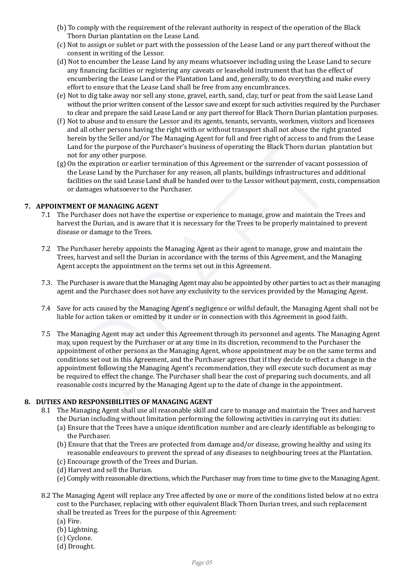- (b) To comply with the requirement of the relevant authority in respect of the operation of the Black Thorn Durian plantation on the Lease Land.
- (c) Not to assign or sublet or part with the possession of the Lease Land or any part thereof without the consent in writing of the Lessor.
- (d) Not to encumber the Lease Land by any means whatsoever including using the Lease Land to secure any financing facilities or registering any caveats or leasehold instrument that has the effect of encumbering the Lease Land or the Plantation Land and, generally, to do everything and make every effort to ensure that the Lease Land shall be free from any encumbrances.
- (e) Not to dig take away nor sell any stone, gravel, earth, sand, clay, turf or peat from the said Lease Land without the prior written consent of the Lessor save and except for such activities required by the Purchaser to clear and prepare the said Lease Land or any part thereof for Black Thorn Durian plantation purposes.
- (f) Not to abuse and to ensure the Lessor and its agents, tenants, servants, workmen, visitors and licensees and all other persons having the right with or without transport shall not abuse the right granted herein by the Seller and/or The Managing Agent for full and free right of access to and from the Lease Land for the purpose of the Purchaser's business of operating the Black Thorn durian plantation but not for any other purpose.
- (g)On the expiration or earlier termination of this Agreement or the surrender of vacant possession of the Lease Land by the Purchaser for any reason, all plants, buildings infrastructures and additional facilities on the said Lease Land shall be handed over to the Lessor without payment, costs, compensation or damages whatsoever to the Purchaser.

#### **7. APPOINTMENT OF MANAGING AGENT**

- 7.1 The Purchaser does not have the expertise or experience to manage, grow and maintain the Trees and harvest the Durian, and is aware that it is necessary for the Trees to be properly maintained to prevent disease or damage to the Trees.
- 7.2 The Purchaser hereby appoints the Managing Agent as their agent to manage, grow and maintain the Trees, harvest and sell the Durian in accordance with the terms of this Agreement, and the Managing Agent accepts the appointment on the terms set out in this Agreement.
- 7.3. The Purchaser is aware that the Managing Agent may also be appointed by other parties to act as their managing agent and the Purchaser does not have any exclusivity to the services provided by the Managing Agent.
- 7.4 Save for acts caused by the Managing Agent's negligence or wilful default, the Managing Agent shall not be liable for action taken or omitted by it under or in connection with this Agreement in good faith.
- ren by us select analy or the Maraging Agent for thu and the reparation of the purpose of the purpose of the Purchaser's business of operating the Black Thorn durian plift for any other purpose.<br>The form and for the purpos 7.5 The Managing Agent may act under this Agreement through its personnel and agents. The Managing Agent may, upon request by the Purchaser or at any time in its discretion, recommend to the Purchaser the appointment of other persons as the Managing Agent, whose appointment may be on the same terms and conditions set out in this Agreement, and the Purchaser agrees that if they decide to effect a change in the appointment following the Managing Agent's recommendation, they will execute such document as may be required to effect the change. The Purchaser shall bear the cost of preparing such documents, and all reasonable costs incurred by the Managing Agent up to the date of change in the appointment.

#### **8. DUTIES AND RESPONSIBILITIES OF MANAGING AGENT**

- 8.1 The Managing Agent shall use all reasonable skill and care to manage and maintain the Trees and harvest the Durian including without limitation performing the following activities in carrying out its duties: (a) Ensure that the Trees have a unique identification number and are clearly identifiable as belonging to
	- the Purchaser.
	- (b) Ensure that that the Trees are protected from damage and/or disease, growing healthy and using its reasonable endeavours to prevent the spread of any diseases to neighbouring trees at the Plantation.
	- (c) Encourage growth of the Trees and Durian.
	- (d) Harvest and sell the Durian.
	- (e) Comply with reasonable directions, which the Purchaser may from time to time give to the Managing Agent.
- 8.2 The Managing Agent will replace any Tree affected by one or more of the conditions listed below at no extra cost to the Purchaser, replacing with other equivalent Black Thorn Durian trees, and such replacement shall be treated as Trees for the purpose of this Agreement:
	- (a) Fire.
	- (b) Lightning.
	- (c) Cyclone.
	- (d) Drought.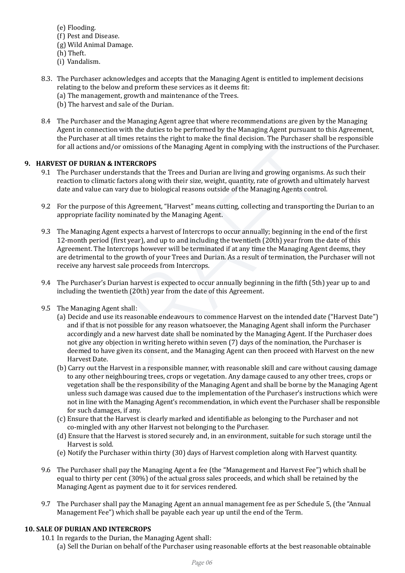- (e) Flooding.
- (f) Pest and Disease.
- (g) Wild Animal Damage.
- (h) Theft.
- (i) Vandalism.
- 8.3. The Purchaser acknowledges and accepts that the Managing Agent is entitled to implement decisions relating to the below and preform these services as it deems fit:
	- (a) The management, growth and maintenance of the Trees.
	- (b) The harvest and sale of the Durian.
- 8.4 The Purchaser and the Managing Agent agree that where recommendations are given by the Managing Agent in connection with the duties to be performed by the Managing Agent pursuant to this Agreement, the Purchaser at all times retains the right to make the final decision. The Purchaser shall be responsible for all actions and/or omissions of the Managing Agent in complying with the instructions of the Purchaser.

# **9. HARVEST OF DURIAN & INTERCROPS**

- 9.1 The Purchaser understands that the Trees and Durian are living and growing organisms. As such their reaction to climatic factors along with their size, weight, quantity, rate of growth and ultimately harvest date and value can vary due to biological reasons outside of the Managing Agents control.
- 9.2 For the purpose of this Agreement, "Harvest" means cutting, collecting and transporting the Durian to an appropriate facility nominated by the Managing Agent.
- 9.3 The Managing Agent expects a harvest of Intercrops to occur annually; beginning in the end of the first 12-month period (first year), and up to and including the twentieth (20th) year from the date of this Agreement. The Intercrops however will be terminated if at any time the Managing Agent deems, they are detrimental to the growth of your Trees and Durian. As a result of termination, the Purchaser will not receive any harvest sale proceeds from Intercrops.
- 9.4 The Purchaser's Durian harvest is expected to occur annually beginning in the fifth (5th) year up to and including the twentieth (20th) year from the date of this Agreement.
- 9.5 The Managing Agent shall:
- renaser at an umes reassins me rignt to make the unia decision. The purchaser stant be<br>actions and/or omissions of the Managing Agent in complying with the instructions of<br>**DURIAN & INTERCROPS**<br>**DURIAN & INTERCROPS**<br>**DRAFT** (a) Decide and use its reasonable endeavours to commence Harvest on the intended date ("Harvest Date") and if that is not possible for any reason whatsoever, the Managing Agent shall inform the Purchaser accordingly and a new harvest date shall be nominated by the Managing Agent. If the Purchaser does not give any objection in writing hereto within seven (7) days of the nomination, the Purchaser is deemed to have given its consent, and the Managing Agent can then proceed with Harvest on the new Harvest Date.
	- (b) Carry out the Harvest in a responsible manner, with reasonable skill and care without causing damage to any other neighbouring trees, crops or vegetation. Any damage caused to any other trees, crops or vegetation shall be the responsibility of the Managing Agent and shall be borne by the Managing Agent unless such damage was caused due to the implementation of the Purchaser's instructions which were not in line with the Managing Agent's recommendation, in which event the Purchaser shall be responsible for such damages, if any.
	- (c) Ensure that the Harvest is clearly marked and identifiable as belonging to the Purchaser and not co-mingled with any other Harvest not belonging to the Purchaser.
	- (d) Ensure that the Harvest is stored securely and, in an environment, suitable for such storage until the Harvest is sold.
	- (e) Notify the Purchaser within thirty (30) days of Harvest completion along with Harvest quantity.
- 9.6 The Purchaser shall pay the Managing Agent a fee (the "Management and Harvest Fee") which shall be equal to thirty per cent (30%) of the actual gross sales proceeds, and which shall be retained by the Managing Agent as payment due to it for services rendered.
- 9.7 The Purchaser shall pay the Managing Agent an annual management fee as per Schedule 5, (the "Annual Management Fee") which shall be payable each year up until the end of the Term.

# **10. SALE OF DURIAN AND INTERCROPS**

- 10.1 In regards to the Durian, the Managing Agent shall:
	- (a) Sell the Durian on behalf of the Purchaser using reasonable efforts at the best reasonable obtainable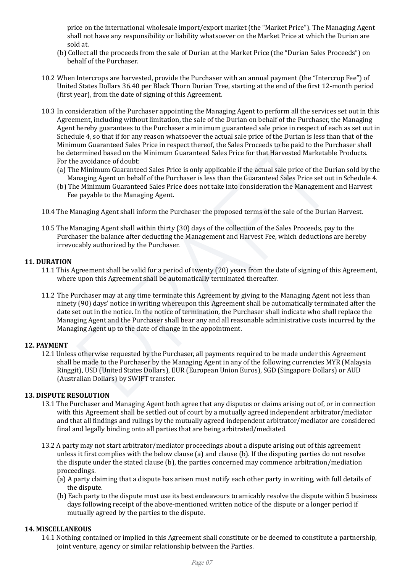price on the international wholesale import/export market (the "Market Price"). The Managing Agent shall not have any responsibility or liability whatsoever on the Market Price at which the Durian are sold at.

- (b) Collect all the proceeds from the sale of Durian at the Market Price (the "Durian Sales Proceeds") on behalf of the Purchaser.
- 10.2 When Intercrops are harvested, provide the Purchaser with an annual payment (the "Intercrop Fee") of United States Dollars 36.40 per Black Thorn Durian Tree, starting at the end of the first 12-month period (first year), from the date of signing of this Agreement.
- 10.3 In consideration of the Purchaser appointing the Managing Agent to perform all the services set out in this Agreement, including without limitation, the sale of the Durian on behalf of the Purchaser, the Managing Agent hereby guarantees to the Purchaser a minimum guaranteed sale price in respect of each as set out in Schedule 4, so that if for any reason whatsoever the actual sale price of the Durian is less than that of the Minimum Guaranteed Sales Price in respect thereof, the Sales Proceeds to be paid to the Purchaser shall be determined based on the Minimum Guaranteed Sales Price for that Harvested Marketable Products. For the avoidance of doubt:
	- (a) The Minimum Guaranteed Sales Price is only applicable if the actual sale price of the Durian sold by the Managing Agent on behalf of the Purchaser is less than the Guaranteed Sales Price set out in Schedule 4.
	- (b) The Minimum Guaranteed Sales Price does not take into consideration the Management and Harvest Fee payable to the Managing Agent.
- 10.4 The Managing Agent shall inform the Purchaser the proposed terms of the sale of the Durian Harvest.
- 10.5 The Managing Agent shall within thirty (30) days of the collection of the Sales Proceeds, pay to the Purchaser the balance after deducting the Management and Harvest Fee, which deductions are hereby irrevocably authorized by the Purchaser.

#### **11. DURATION**

- 11.1 This Agreement shall be valid for a period of twenty (20) years from the date of signing of this Agreement, where upon this Agreement shall be automatically terminated thereafter.
- we not all the Minimum Guaranteed Sales Price in respect thereof, the Sales Proceeds to be paid to the Pur<br>um Guaranteed Sales Price in respect thereof, the Sales Proceeds to be paid to the Pur<br>environment based on the Min 11.2 The Purchaser may at any time terminate this Agreement by giving to the Managing Agent not less than ninety (90) days' notice in writing whereupon this Agreement shall be automatically terminated after the date set out in the notice. In the notice of termination, the Purchaser shall indicate who shall replace the Managing Agent and the Purchaser shall bear any and all reasonable administrative costs incurred by the Managing Agent up to the date of change in the appointment.

#### **12. PAYMENT**

12.1 Unless otherwise requested by the Purchaser, all payments required to be made under this Agreement shall be made to the Purchaser by the Managing Agent in any of the following currencies MYR (Malaysia Ringgit), USD (United States Dollars), EUR (European Union Euros), SGD (Singapore Dollars) or AUD (Australian Dollars) by SWIFT transfer.

#### **13. DISPUTE RESOLUTION**

- 13.1 The Purchaser and Managing Agent both agree that any disputes or claims arising out of, or in connection with this Agreement shall be settled out of court by a mutually agreed independent arbitrator/mediator and that all findings and rulings by the mutually agreed independent arbitrator/mediator are considered final and legally binding onto all parties that are being arbitrated/mediated.
- 13.2 A party may not start arbitrator/mediator proceedings about a dispute arising out of this agreement unless it first complies with the below clause (a) and clause (b). If the disputing parties do not resolve the dispute under the stated clause (b), the parties concerned may commence arbitration/mediation proceedings.
	- (a) A party claiming that a dispute has arisen must notify each other party in writing, with full details of the dispute.
	- (b) Each party to the dispute must use its best endeavours to amicably resolve the dispute within 5 business days following receipt of the above-mentioned written notice of the dispute or a longer period if mutually agreed by the parties to the dispute.

#### **14. MISCELLANEOUS**

14.1 Nothing contained or implied in this Agreement shall constitute or be deemed to constitute a partnership, joint venture, agency or similar relationship between the Parties.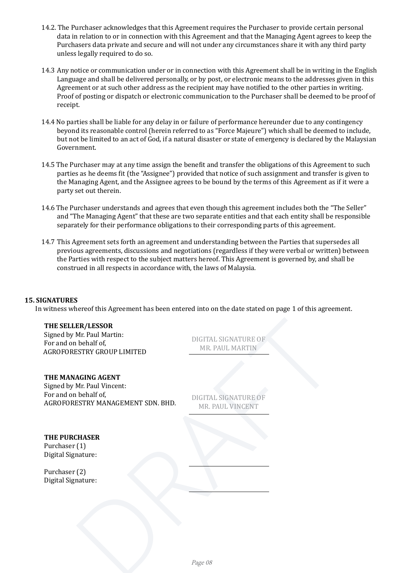- 14.2. The Purchaser acknowledges that this Agreement requires the Purchaser to provide certain personal data in relation to or in connection with this Agreement and that the Managing Agent agrees to keep the Purchasers data private and secure and will not under any circumstances share it with any third party unless legally required to do so.
- 14.3 Any notice or communication under or in connection with this Agreement shall be in writing in the English Language and shall be delivered personally, or by post, or electronic means to the addresses given in this Agreement or at such other address as the recipient may have notified to the other parties in writing. Proof of posting or dispatch or electronic communication to the Purchaser shall be deemed to be proof of receipt.
- 14.4 No parties shall be liable for any delay in or failure of performance hereunder due to any contingency beyond its reasonable control (herein referred to as "Force Majeure") which shall be deemed to include, but not be limited to an act of God, if a natural disaster or state of emergency is declared by the Malaysian Government.
- 14.5 The Purchaser may at any time assign the benefit and transfer the obligations of this Agreement to such parties as he deems fit (the "Assignee") provided that notice of such assignment and transfer is given to the Managing Agent, and the Assignee agrees to be bound by the terms of this Agreement as if it were a party set out therein.
- 14.6 The Purchaser understands and agrees that even though this agreement includes both the "The Seller" and "The Managing Agent" that these are two separate entities and that each entity shall be responsible separately for their performance obligations to their corresponding parts of this agreement.
- 14.7 This Agreement sets forth an agreement and understanding between the Parties that supersedes all previous agreements, discussions and negotiations (regardless if they were verbal or written) between the Parties with respect to the subject matters hereof. This Agreement is governed by, and shall be construed in all respects in accordance with, the laws of Malaysia.

#### **15. SIGNATURES**

In witness whereof this Agreement has been entered into on the date stated on page 1 of this agreement.

#### **THE SELLER/LESSOR**

Signed by Mr. Paul Martin: For and on behalf of, AGROFORESTRY GROUP LIMITED

DIGITAL SIGNATURE OF MR. PAUL MARTIN

# ER/LESSOR<br>
Mr. Paul Martin:<br>
DIGITAL SIGNATURE OF<br>
SETRY GROUP LIMITED<br>
MR. PAUL MARTIN<br>
MR. PAUL MARTIN<br>
LEGING AGENT<br>
DIGITAL SIGNATURE OF<br>
MR. PAUL VINCENT<br>
SESTRY MANAGEMENT SDN. BHD.<br>
MR. PAUL VINCENT<br>
(1)<br>
THASER<br>
(1 **THE MANAGING AGENT** Signed by Mr. Paul Vincent: For and on behalf of, AGROFORESTRY MANAGEMENT SDN. BHD.

DIGITAL SIGNATURE OF MR. PAUL VINCENT

#### **THE PURCHASER** Purchaser (1)

Digital Signature:

Purchaser (2) Digital Signature: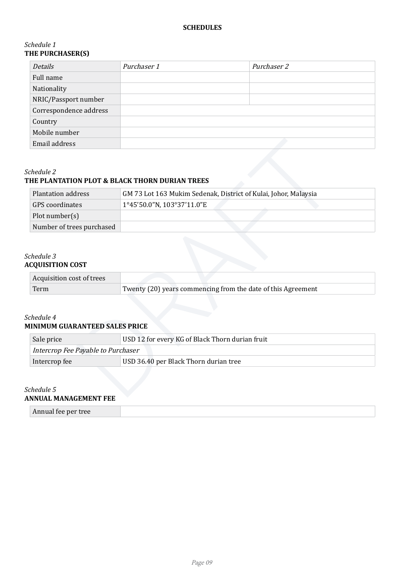#### **SCHEDULES**

#### *Schedule 1* **THE PURCHASER(S)**

| <b>Details</b>         | Purchaser 1 | Purchaser 2 |
|------------------------|-------------|-------------|
| Full name              |             |             |
| Nationality            |             |             |
| NRIC/Passport number   |             |             |
| Correspondence address |             |             |
| Country                |             |             |
| Mobile number          |             |             |
| Email address          |             |             |

## *Schedule 2* **THE PLANTATION PLOT & BLACK THORN DURIAN TREES**

| Email address                                              |                                                                 |
|------------------------------------------------------------|-----------------------------------------------------------------|
| chedule 2<br>HE PLANTATION PLOT & BLACK THORN DURIAN TREES |                                                                 |
| <b>Plantation address</b>                                  | GM 73 Lot 163 Mukim Sedenak, District of Kulai, Johor, Malaysia |
| <b>GPS</b> coordinates                                     | 1°45'50.0"N, 103°37'11.0"E                                      |
| Plot number(s)                                             |                                                                 |
| Number of trees purchased                                  |                                                                 |
| <b>CQUISITION COST</b><br>Acquisition cost of trees        |                                                                 |
|                                                            |                                                                 |
| Term                                                       | Twenty (20) years commencing from the date of this Agreement    |
| chedule 4<br><b>IINIMUM GUARANTEED SALES PRICE</b>         |                                                                 |
| Sale price                                                 | USD 12 for every KG of Black Thorn durian fruit                 |
| Intercrop Fee Payable to Purchaser                         |                                                                 |
| Intercrop fee                                              | USD 36.40 per Black Thorn durian tree                           |
| chedule 5                                                  |                                                                 |

#### *Schedule 3* **ACQUISITION COST**

| Acquisition cost of trees |                                                              |
|---------------------------|--------------------------------------------------------------|
| Term                      | Twenty (20) years commencing from the date of this Agreement |

#### *Schedule 4*  **MINIMUM GUARANTEED SALES PRICE**

| Sale price                         | USD 12 for every KG of Black Thorn durian fruit |  |  |  |  |
|------------------------------------|-------------------------------------------------|--|--|--|--|
| Intercrop Fee Payable to Purchaser |                                                 |  |  |  |  |
| Intercrop fee                      | USD 36.40 per Black Thorn durian tree           |  |  |  |  |

#### *Schedule 5* **ANNUAL MANAGEMENT FEE**